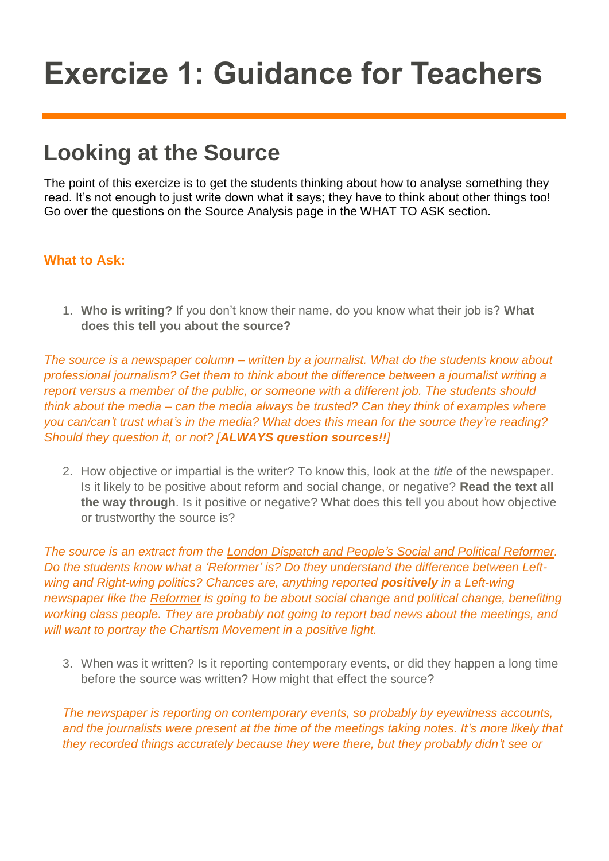## **Exercize 1: Guidance for Teachers**

## **Looking at the Source**

The point of this exercize is to get the students thinking about how to analyse something they read. It's not enough to just write down what it says; they have to think about other things too! Go over the questions on the Source Analysis page in the WHAT TO ASK section.

## **What to Ask:**

1. **Who is writing?** If you don't know their name, do you know what their job is? **What does this tell you about the source?** 

*The source is a newspaper column – written by a journalist. What do the students know about professional journalism? Get them to think about the difference between a journalist writing a report versus a member of the public, or someone with a different job. The students should think about the media – can the media always be trusted? Can they think of examples where you can/can't trust what's in the media? What does this mean for the source they're reading? Should they question it, or not? [ALWAYS question sources!!]*

2. How objective or impartial is the writer? To know this, look at the *title* of the newspaper. Is it likely to be positive about reform and social change, or negative? **Read the text all the way through**. Is it positive or negative? What does this tell you about how objective or trustworthy the source is?

*The source is an extract from the London Dispatch and People's Social and Political Reformer. Do the students know what a 'Reformer' is? Do they understand the difference between Leftwing and Right-wing politics? Chances are, anything reported positively in a Left-wing newspaper like the Reformer is going to be about social change and political change, benefiting working class people. They are probably not going to report bad news about the meetings, and will want to portray the Chartism Movement in a positive light.* 

3. When was it written? Is it reporting contemporary events, or did they happen a long time before the source was written? How might that effect the source?

*The newspaper is reporting on contemporary events, so probably by eyewitness accounts, and the journalists were present at the time of the meetings taking notes. It's more likely that they recorded things accurately because they were there, but they probably didn't see or*